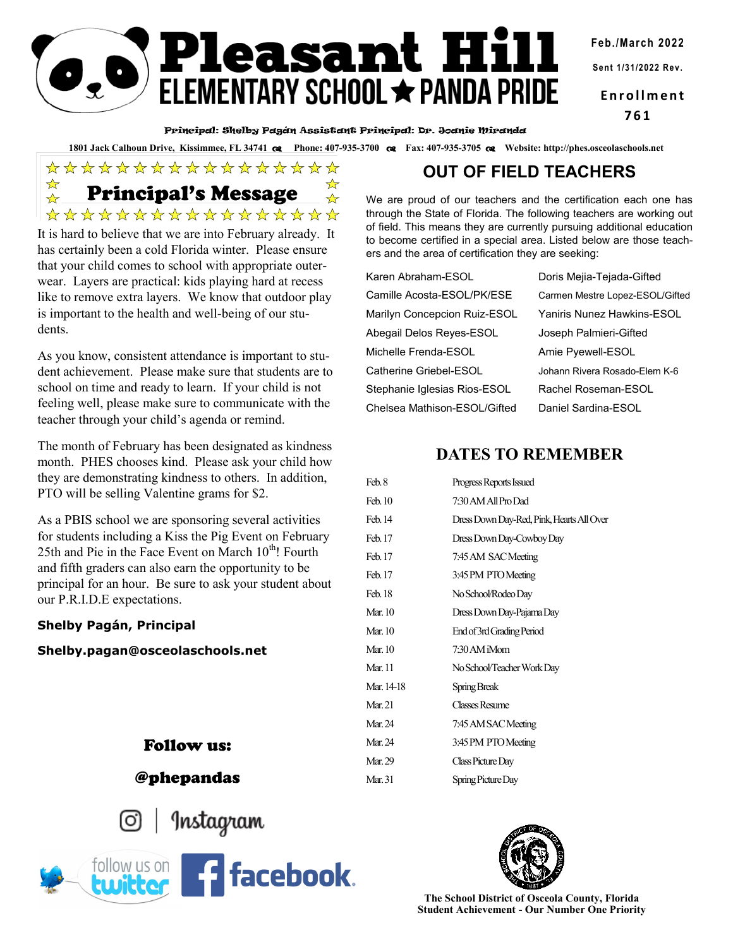**Feb./March 2022**

**Sent 1/31/2022 Rev.**

**E n r o l l m e n t 761**

#### Principal: Shelby Pagán Assistant Principal: Dr. Joanie Miranda

**Pleasant Hill**<br>ELEMENTARY SCHOOL <del>\*</del> PANDA PRIDE

**1801 Jack Calhoun Drive, Kissimmee, FL 34741 Phone: 407-935-3700 Fax: 407-935-3705 Website: http://phes.osceolaschools.net**

\*\*\*\*\*\*\*\*\*\*\*\*\*\*\*\*\* Principal's Message\*\*\*\*\*\*\*\*\*\*\*\*\*\*\*\*

It is hard to believe that we are into February already. It has certainly been a cold Florida winter. Please ensure that your child comes to school with appropriate outerwear. Layers are practical: kids playing hard at recess like to remove extra layers. We know that outdoor play is important to the health and well-being of our students.

As you know, consistent attendance is important to student achievement. Please make sure that students are to school on time and ready to learn. If your child is not feeling well, please make sure to communicate with the teacher through your child's agenda or remind.

The month of February has been designated as kindness month. PHES chooses kind. Please ask your child how they are demonstrating kindness to others. In addition, PTO will be selling Valentine grams for \$2.

As a PBIS school we are sponsoring several activities for students including a Kiss the Pig Event on February 25th and Pie in the Face Event on March  $10^{th}$ ! Fourth and fifth graders can also earn the opportunity to be principal for an hour. Be sure to ask your student about our P.R.I.D.E expectations.

#### **Shelby Pagán, Principal**

**Shelby.pagan@osceolaschools.net**

## Follow us:

## @phepandas



Instagram



# **OUT OF FIELD TEACHERS**

We are proud of our teachers and the certification each one has through the State of Florida. The following teachers are working out of field. This means they are currently pursuing additional education to become certified in a special area. Listed below are those teachers and the area of certification they are seeking:

| Karen Abraham-ESOL           | Doris Mejia-Tejada-Gifted         |
|------------------------------|-----------------------------------|
| Camille Acosta-ESOL/PK/ESE   | Carmen Mestre Lopez-ESOL/Gifted   |
| Marilyn Concepcion Ruiz-ESOL | <b>Yaniris Nunez Hawkins-ESOL</b> |
| Abegail Delos Reyes-ESOL     | Joseph Palmieri-Gifted            |
| Michelle Frenda-ESOL         | Amie Pyewell-ESOL                 |
| Catherine Griebel-ESOL       | Johann Rivera Rosado-Elem K-6     |
| Stephanie Iglesias Rios-ESOL | Rachel Roseman-ESOL               |
| Chelsea Mathison-ESOL/Gifted | Daniel Sardina-ESOL               |

## **DATES TO REMEMBER**

| Feb.8          | Progress Reports Issued                   |
|----------------|-------------------------------------------|
| Feb. 10        | 7:30 AM All Pro Dad                       |
| Feb. 14        | Dress Down Day-Red, Pink, Hearts All Over |
| Feb. 17        | Dress Down Day-Cowboy Day                 |
| Feb. 17        | 7:45 AM SAC Meeting                       |
| Feb. 17        | 3:45 PM PTO Meeting                       |
| Feb. 18        | No School/Rodeo Day                       |
| Mar. 10        | Dress Down Day-Pajama Day                 |
| Mar. 10        | End of 3rd Grading Period                 |
| Mar. 10        | 7:30 AM iMom                              |
| <b>Mar.</b> 11 | No School/Teacher Work Day                |
| Mar. 14-18     | Spring Break                              |
| Mar. 21        | <b>Classes Resume</b>                     |
| Mar. 24        | 7:45 AM SAC Meeting                       |
| Mar. 24        | 3:45 PM PTO Meeting                       |
| Mar. 29        | Class Picture Day                         |
| Mar. 31        | Spring Picture Day                        |
|                |                                           |



**The School District of Osceola County, Florida Student Achievement - Our Number One Priority**